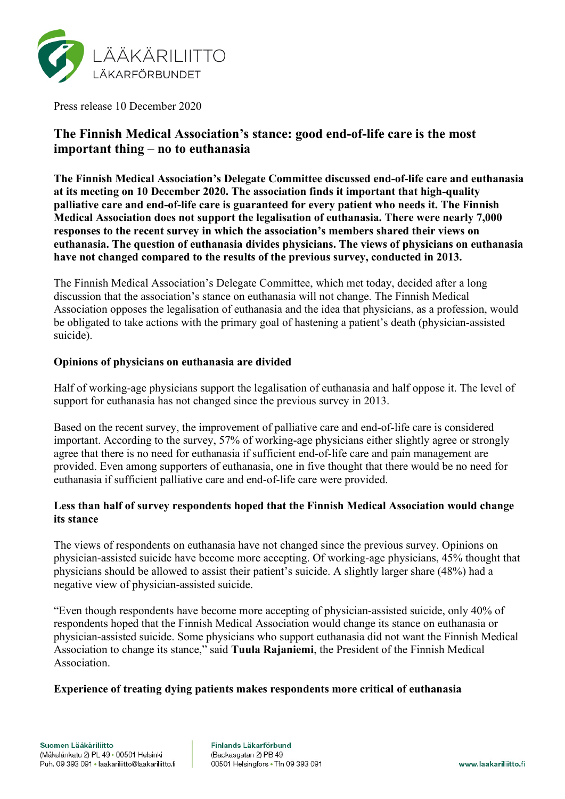

Press release 10 December 2020

# **The Finnish Medical Association's stance: good end-of-life care is the most important thing – no to euthanasia**

**The Finnish Medical Association's Delegate Committee discussed end-of-life care and euthanasia at its meeting on 10 December 2020. The association finds it important that high-quality palliative care and end-of-life care is guaranteed for every patient who needs it. The Finnish Medical Association does not support the legalisation of euthanasia. There were nearly 7,000 responses to the recent survey in which the association's members shared their views on euthanasia. The question of euthanasia divides physicians. The views of physicians on euthanasia have not changed compared to the results of the previous survey, conducted in 2013.** 

The Finnish Medical Association's Delegate Committee, which met today, decided after a long discussion that the association's stance on euthanasia will not change. The Finnish Medical Association opposes the legalisation of euthanasia and the idea that physicians, as a profession, would be obligated to take actions with the primary goal of hastening a patient's death (physician-assisted suicide).

## **Opinions of physicians on euthanasia are divided**

Half of working-age physicians support the legalisation of euthanasia and half oppose it. The level of support for euthanasia has not changed since the previous survey in 2013.

Based on the recent survey, the improvement of palliative care and end-of-life care is considered important. According to the survey, 57% of working-age physicians either slightly agree or strongly agree that there is no need for euthanasia if sufficient end-of-life care and pain management are provided. Even among supporters of euthanasia, one in five thought that there would be no need for euthanasia if sufficient palliative care and end-of-life care were provided.

# **Less than half of survey respondents hoped that the Finnish Medical Association would change its stance**

The views of respondents on euthanasia have not changed since the previous survey. Opinions on physician-assisted suicide have become more accepting. Of working-age physicians, 45% thought that physicians should be allowed to assist their patient's suicide. A slightly larger share (48%) had a negative view of physician-assisted suicide.

"Even though respondents have become more accepting of physician-assisted suicide, only 40% of respondents hoped that the Finnish Medical Association would change its stance on euthanasia or physician-assisted suicide. Some physicians who support euthanasia did not want the Finnish Medical Association to change its stance," said **Tuula Rajaniemi**, the President of the Finnish Medical Association.

#### **Experience of treating dying patients makes respondents more critical of euthanasia**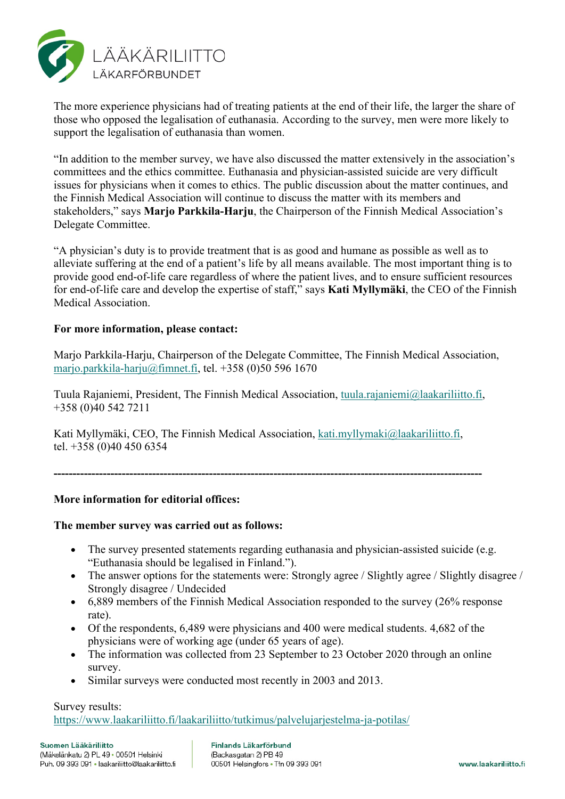

The more experience physicians had of treating patients at the end of their life, the larger the share of those who opposed the legalisation of euthanasia. According to the survey, men were more likely to support the legalisation of euthanasia than women.

"In addition to the member survey, we have also discussed the matter extensively in the association's committees and the ethics committee. Euthanasia and physician-assisted suicide are very difficult issues for physicians when it comes to ethics. The public discussion about the matter continues, and the Finnish Medical Association will continue to discuss the matter with its members and stakeholders," says **Marjo Parkkila-Harju**, the Chairperson of the Finnish Medical Association's Delegate Committee.

"A physician's duty is to provide treatment that is as good and humane as possible as well as to alleviate suffering at the end of a patient's life by all means available. The most important thing is to provide good end-of-life care regardless of where the patient lives, and to ensure sufficient resources for end-of-life care and develop the expertise of staff," says **Kati Myllymäki**, the CEO of the Finnish Medical Association.

# **For more information, please contact:**

Marjo Parkkila-Harju, Chairperson of the Delegate Committee, The Finnish Medical Association, [marjo.parkkila-harju@fimnet.fi,](mailto:marjo.parkkila-harju@fimnet.fi) tel. +358 (0)50 596 1670

Tuula Rajaniemi, President, The Finnish Medical Association, [tuula.rajaniemi@laakariliitto.fi,](mailto:tuula.rajaniemi@laakariliitto.fi) +358 (0)40 542 7211

Kati Myllymäki, CEO, The Finnish Medical Association, [kati.myllymaki@laakariliitto.fi,](mailto:kati.myllymaki@laakariliitto.fi) tel. +358 (0)40 450 6354

**-----------------------------------------------------------------------------------------------------------------**

# **More information for editorial offices:**

#### **The member survey was carried out as follows:**

- The survey presented statements regarding euthanasia and physician-assisted suicide (e.g. "Euthanasia should be legalised in Finland.").
- The answer options for the statements were: Strongly agree / Slightly agree / Slightly disagree / Strongly disagree / Undecided
- 6,889 members of the Finnish Medical Association responded to the survey (26% response rate).
- Of the respondents, 6,489 were physicians and 400 were medical students. 4,682 of the physicians were of working age (under 65 years of age).
- The information was collected from 23 September to 23 October 2020 through an online survey.
- Similar surveys were conducted most recently in 2003 and 2013.

#### Survey results:

<https://www.laakariliitto.fi/laakariliitto/tutkimus/palvelujarjestelma-ja-potilas/>